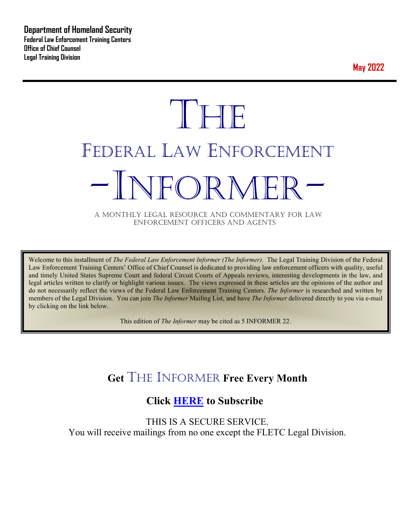**May 2022**



A MONTHLY LEGAL RESOURCE AND COMMENTARY FOR LAW ENFORCEMENT OFFICERS AND AGENTS

Welcome to this installment of *The Federal Law Enforcement Informer (The Informer).* The Legal Training Division of the Federal Law Enforcement Training Centers' Office of Chief Counsel is dedicated to providing law enforcement officers with quality, useful and timely United States Supreme Court and federal Circuit Courts of Appeals reviews, interesting developments in the law, and legal articles written to clarify or highlight various issues. The views expressed in these articles are the opinions of the author and do not necessarily reflect the views of the Federal Law Enforcement Training Centers. *The Informer* is researched and written by members of the Legal Division. You can join *The Informer* Mailing List, and have *The Informer* delivered directly to you via e-mail by clicking on the link below.

This edition of *The Informer* may be cited as 5 INFORMER 22.

## **Get** THE INFORMER **Free Every Month**

## **Click [HERE](https://app.co-sender.com/opt-in/list/7b007eab-378b-4542-807f-44d6de94cb7e) to Subscribe**

THIS IS A SECURE SERVICE. You will receive mailings from no one except the FLETC Legal Division.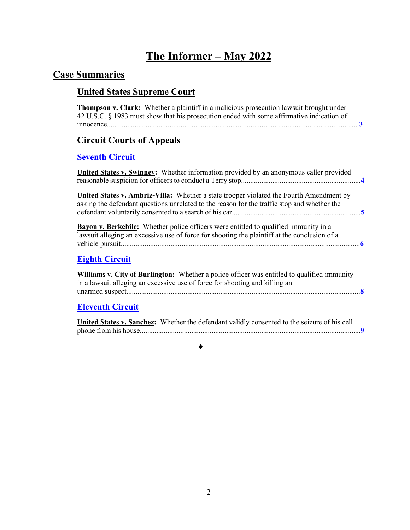## **The Informer – May 2022**

## **Case Summaries**

## **United States Supreme Court**

| <b>Circuit Courts of Appeals</b>                                                                                                                                                              |
|-----------------------------------------------------------------------------------------------------------------------------------------------------------------------------------------------|
| <b>Seventh Circuit</b>                                                                                                                                                                        |
| <b>United States v. Swinney:</b> Whether information provided by an anonymous caller provided                                                                                                 |
| <b>United States v. Ambriz-Villa:</b> Whether a state trooper violated the Fourth Amendment by<br>asking the defendant questions unrelated to the reason for the traffic stop and whether the |
| <b>Bayon v. Berkebile:</b> Whether police officers were entitled to qualified immunity in a<br>lawsuit alleging an excessive use of force for shooting the plaintiff at the conclusion of a   |
| <b>Eighth Circuit</b>                                                                                                                                                                         |
| <b>Williams v. City of Burlington:</b> Whether a police officer was entitled to qualified immunity                                                                                            |
| in a lawsuit alleging an excessive use of force for shooting and killing an                                                                                                                   |

| United States v. Sanchez: Whether the defendant validly consented to the seizure of his cell |
|----------------------------------------------------------------------------------------------|
|                                                                                              |

 $\bullet$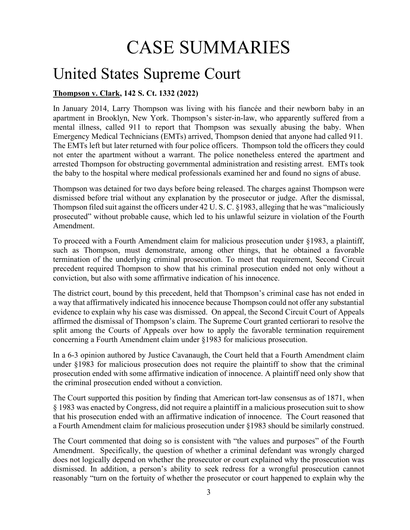# <span id="page-2-1"></span>CASE SUMMARIES

# United States Supreme Court

### <span id="page-2-0"></span>**Thompson v. Clark, 142 S. Ct. 1332 (2022)**

In January 2014, Larry Thompson was living with his fiancée and their newborn baby in an apartment in Brooklyn, New York. Thompson's sister-in-law, who apparently suffered from a mental illness, called 911 to report that Thompson was sexually abusing the baby. When Emergency Medical Technicians (EMTs) arrived, Thompson denied that anyone had called 911. The EMTs left but later returned with four police officers. Thompson told the officers they could not enter the apartment without a warrant. The police nonetheless entered the apartment and arrested Thompson for obstructing governmental administration and resisting arrest. EMTs took the baby to the hospital where medical professionals examined her and found no signs of abuse.

Thompson was detained for two days before being released. The charges against Thompson were dismissed before trial without any explanation by the prosecutor or judge. After the dismissal, Thompson filed suit against the officers under 42 U. S. C. §1983, alleging that he was "maliciously prosecuted" without probable cause, which led to his unlawful seizure in violation of the Fourth Amendment.

To proceed with a Fourth Amendment claim for malicious prosecution under §1983, a plaintiff, such as Thompson, must demonstrate, among other things, that he obtained a favorable termination of the underlying criminal prosecution. To meet that requirement, Second Circuit precedent required Thompson to show that his criminal prosecution ended not only without a conviction, but also with some affirmative indication of his innocence.

The district court, bound by this precedent, held that Thompson's criminal case has not ended in a way that affirmatively indicated his innocence because Thompson could not offer any substantial evidence to explain why his case was dismissed. On appeal, the Second Circuit Court of Appeals affirmed the dismissal of Thompson's claim. The Supreme Court granted certiorari to resolve the split among the Courts of Appeals over how to apply the favorable termination requirement concerning a Fourth Amendment claim under §1983 for malicious prosecution.

In a 6-3 opinion authored by Justice Cavanaugh, the Court held that a Fourth Amendment claim under §1983 for malicious prosecution does not require the plaintiff to show that the criminal prosecution ended with some affirmative indication of innocence. A plaintiff need only show that the criminal prosecution ended without a conviction.

The Court supported this position by finding that American tort-law consensus as of 1871, when § 1983 was enacted by Congress, did not require a plaintiff in a malicious prosecution suit to show that his prosecution ended with an affirmative indication of innocence. The Court reasoned that a Fourth Amendment claim for malicious prosecution under §1983 should be similarly construed.

The Court commented that doing so is consistent with "the values and purposes" of the Fourth Amendment. Specifically, the question of whether a criminal defendant was wrongly charged does not logically depend on whether the prosecutor or court explained why the prosecution was dismissed. In addition, a person's ability to seek redress for a wrongful prosecution cannot reasonably "turn on the fortuity of whether the prosecutor or court happened to explain why the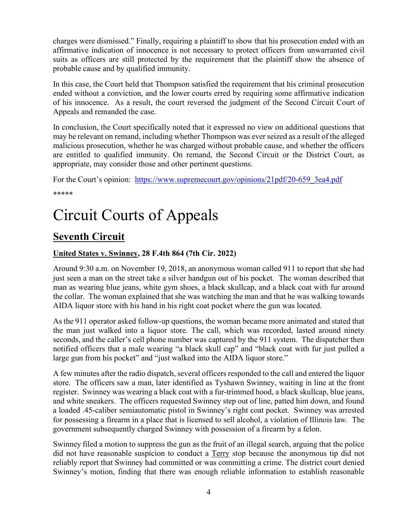charges were dismissed." Finally, requiring a plaintiff to show that his prosecution ended with an affirmative indication of innocence is not necessary to protect officers from unwarranted civil suits as officers are still protected by the requirement that the plaintiff show the absence of probable cause and by qualified immunity.

In this case, the Court held that Thompson satisfied the requirement that his criminal prosecution ended without a conviction, and the lower courts erred by requiring some affirmative indication of his innocence. As a result, the court reversed the judgment of the Second Circuit Court of Appeals and remanded the case.

In conclusion, the Court specifically noted that it expressed no view on additional questions that may be relevant on remand, including whether Thompson was ever seized as a result of the alleged malicious prosecution, whether he was charged without probable cause, and whether the officers are entitled to qualified immunity. On remand, the Second Circuit or the District Court, as appropriate, may consider those and other pertinent questions.

For the Court's opinion: https://www.supremecourt.gov/opinions/21pdf/20-659 3ea4.pdf \*\*\*\*\*

# Circuit Courts of Appeals

## <span id="page-3-0"></span>**Seventh Circuit**

### <span id="page-3-1"></span>**United States v. Swinney, 28 F.4th 864 (7th Cir. 2022)**

Around 9:30 a.m. on November 19, 2018, an anonymous woman called 911 to report that she had just seen a man on the street take a silver handgun out of his pocket. The woman described that man as wearing blue jeans, white gym shoes, a black skullcap, and a black coat with fur around the collar. The woman explained that she was watching the man and that he was walking towards AIDA liquor store with his hand in his right coat pocket where the gun was located.

As the 911 operator asked follow-up questions, the woman became more animated and stated that the man just walked into a liquor store. The call, which was recorded, lasted around ninety seconds, and the caller's cell phone number was captured by the 911 system. The dispatcher then notified officers that a male wearing "a black skull cap" and "black coat with fur just pulled a large gun from his pocket" and "just walked into the AIDA liquor store."

A few minutes after the radio dispatch, several officers responded to the call and entered the liquor store. The officers saw a man, later identified as Tyshawn Swinney, waiting in line at the front register. Swinney was wearing a black coat with a fur-trimmed hood, a black skullcap, blue jeans, and white sneakers. The officers requested Swinney step out of line, patted him down, and found a loaded .45-caliber semiautomatic pistol in Swinney's right coat pocket. Swinney was arrested for possessing a firearm in a place that is licensed to sell alcohol, a violation of Illinois law. The government subsequently charged Swinney with possession of a firearm by a felon.

Swinney filed a motion to suppress the gun as the fruit of an illegal search, arguing that the police did not have reasonable suspicion to conduct a Terry stop because the anonymous tip did not reliably report that Swinney had committed or was committing a crime. The district court denied Swinney's motion, finding that there was enough reliable information to establish reasonable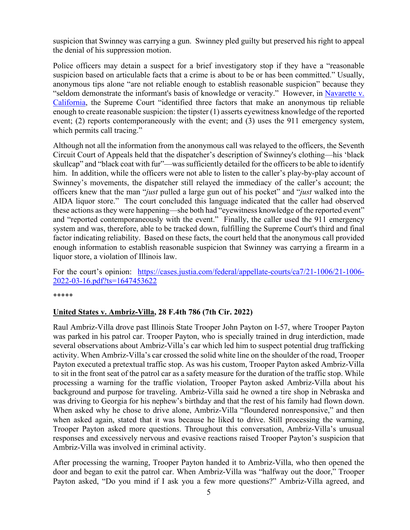suspicion that Swinney was carrying a gun. Swinney pled guilty but preserved his right to appeal the denial of his suppression motion.

Police officers may detain a suspect for a brief investigatory stop if they have a "reasonable suspicion based on articulable facts that a crime is about to be or has been committed." Usually, anonymous tips alone "are not reliable enough to establish reasonable suspicion" because they "seldom demonstrate the informant's basis of knowledge or veracity." However, in Navarette v. [California,](https://supreme.justia.com/cases/federal/us/572/393/) the Supreme Court "identified three factors that make an anonymous tip reliable enough to create reasonable suspicion: the tipster (1) asserts eyewitness knowledge of the reported event; (2) reports contemporaneously with the event; and (3) uses the 911 emergency system, which permits call tracing."

Although not all the information from the anonymous call was relayed to the officers, the Seventh Circuit Court of Appeals held that the dispatcher's description of Swinney's clothing—his 'black skullcap" and "black coat with fur"—was sufficiently detailed for the officers to be able to identify him. In addition, while the officers were not able to listen to the caller's play-by-play account of Swinney's movements, the dispatcher still relayed the immediacy of the caller's account; the officers knew that the man "*just* pulled a large gun out of his pocket" and "*just* walked into the AIDA liquor store." The court concluded this language indicated that the caller had observed these actions as they were happening—she both had "eyewitness knowledge of the reported event" and "reported contemporaneously with the event." Finally, the caller used the 911 emergency system and was, therefore, able to be tracked down, fulfilling the Supreme Court's third and final factor indicating reliability. Based on these facts, the court held that the anonymous call provided enough information to establish reasonable suspicion that Swinney was carrying a firearm in a liquor store, a violation of Illinois law.

For the court's opinion: [https://cases.justia.com/federal/appellate-courts/ca7/21-1006/21-1006-](https://cases.justia.com/federal/appellate-courts/ca7/21-1006/21-1006-2022-03-16.pdf?ts=1647453622) [2022-03-16.pdf?ts=1647453622](https://cases.justia.com/federal/appellate-courts/ca7/21-1006/21-1006-2022-03-16.pdf?ts=1647453622) 

\*\*\*\*\*

#### <span id="page-4-0"></span>**United States v. Ambriz-Villa, 28 F.4th 786 (7th Cir. 2022)**

Raul Ambriz-Villa drove past Illinois State Trooper John Payton on I-57, where Trooper Payton was parked in his patrol car. Trooper Payton, who is specially trained in drug interdiction, made several observations about Ambriz-Villa's car which led him to suspect potential drug trafficking activity. When Ambriz-Villa's car crossed the solid white line on the shoulder of the road, Trooper Payton executed a pretextual traffic stop. As was his custom, Trooper Payton asked Ambriz-Villa to sit in the front seat of the patrol car as a safety measure for the duration of the traffic stop. While processing a warning for the traffic violation, Trooper Payton asked Ambriz-Villa about his background and purpose for traveling. Ambriz-Villa said he owned a tire shop in Nebraska and was driving to Georgia for his nephew's birthday and that the rest of his family had flown down. When asked why he chose to drive alone, Ambriz-Villa "floundered nonresponsive," and then when asked again, stated that it was because he liked to drive. Still processing the warning, Trooper Payton asked more questions. Throughout this conversation, Ambriz-Villa's unusual responses and excessively nervous and evasive reactions raised Trooper Payton's suspicion that Ambriz-Villa was involved in criminal activity.

After processing the warning, Trooper Payton handed it to Ambriz-Villa, who then opened the door and began to exit the patrol car. When Ambriz-Villa was "halfway out the door," Trooper Payton asked, "Do you mind if I ask you a few more questions?" Ambriz-Villa agreed, and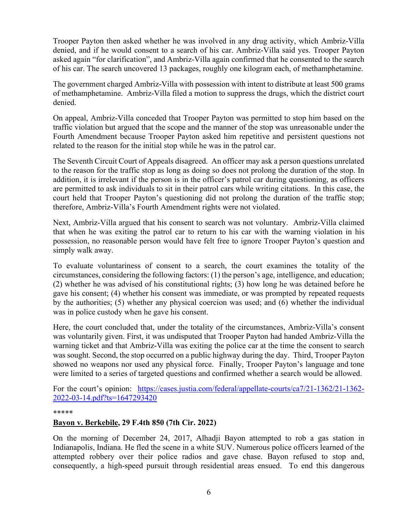Trooper Payton then asked whether he was involved in any drug activity, which Ambriz-Villa denied, and if he would consent to a search of his car. Ambriz-Villa said yes. Trooper Payton asked again "for clarification", and Ambriz-Villa again confirmed that he consented to the search of his car. The search uncovered 13 packages, roughly one kilogram each, of methamphetamine.

The government charged Ambriz-Villa with possession with intent to distribute at least 500 grams of methamphetamine. Ambriz-Villa filed a motion to suppress the drugs, which the district court denied.

On appeal, Ambriz-Villa conceded that Trooper Payton was permitted to stop him based on the traffic violation but argued that the scope and the manner of the stop was unreasonable under the Fourth Amendment because Trooper Payton asked him repetitive and persistent questions not related to the reason for the initial stop while he was in the patrol car.

The Seventh Circuit Court of Appeals disagreed. An officer may ask a person questions unrelated to the reason for the traffic stop as long as doing so does not prolong the duration of the stop. In addition, it is irrelevant if the person is in the officer's patrol car during questioning, as officers are permitted to ask individuals to sit in their patrol cars while writing citations. In this case, the court held that Trooper Payton's questioning did not prolong the duration of the traffic stop; therefore, Ambriz-Villa's Fourth Amendment rights were not violated.

Next, Ambriz-Villa argued that his consent to search was not voluntary. Ambriz-Villa claimed that when he was exiting the patrol car to return to his car with the warning violation in his possession, no reasonable person would have felt free to ignore Trooper Payton's question and simply walk away.

To evaluate voluntariness of consent to a search, the court examines the totality of the circumstances, considering the following factors: (1) the person's age, intelligence, and education; (2) whether he was advised of his constitutional rights; (3) how long he was detained before he gave his consent; (4) whether his consent was immediate, or was prompted by repeated requests by the authorities; (5) whether any physical coercion was used; and (6) whether the individual was in police custody when he gave his consent.

Here, the court concluded that, under the totality of the circumstances, Ambriz-Villa's consent was voluntarily given. First, it was undisputed that Trooper Payton had handed Ambriz-Villa the warning ticket and that Ambriz-Villa was exiting the police car at the time the consent to search was sought. Second, the stop occurred on a public highway during the day. Third, Trooper Payton showed no weapons nor used any physical force. Finally, Trooper Payton's language and tone were limited to a series of targeted questions and confirmed whether a search would be allowed.

For the court's opinion: [https://cases.justia.com/federal/appellate-courts/ca7/21-1362/21-1362-](https://cases.justia.com/federal/appellate-courts/ca7/21-1362/21-1362-2022-03-14.pdf?ts=1647293420) [2022-03-14.pdf?ts=1647293420](https://cases.justia.com/federal/appellate-courts/ca7/21-1362/21-1362-2022-03-14.pdf?ts=1647293420) 

#### \*\*\*\*\*

#### <span id="page-5-0"></span>**Bayon v. Berkebile, 29 F.4th 850 (7th Cir. 2022)**

On the morning of December 24, 2017, Alhadji Bayon attempted to rob a gas station in Indianapolis, Indiana. He fled the scene in a white SUV. Numerous police officers learned of the attempted robbery over their police radios and gave chase. Bayon refused to stop and, consequently, a high-speed pursuit through residential areas ensued. To end this dangerous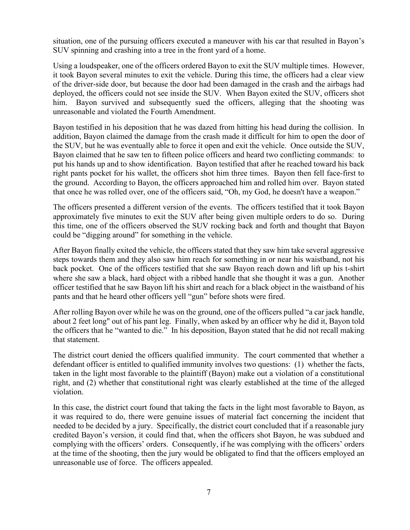situation, one of the pursuing officers executed a maneuver with his car that resulted in Bayon's SUV spinning and crashing into a tree in the front yard of a home.

Using a loudspeaker, one of the officers ordered Bayon to exit the SUV multiple times. However, it took Bayon several minutes to exit the vehicle. During this time, the officers had a clear view of the driver-side door, but because the door had been damaged in the crash and the airbags had deployed, the officers could not see inside the SUV. When Bayon exited the SUV, officers shot him. Bayon survived and subsequently sued the officers, alleging that the shooting was unreasonable and violated the Fourth Amendment.

Bayon testified in his deposition that he was dazed from hitting his head during the collision. In addition, Bayon claimed the damage from the crash made it difficult for him to open the door of the SUV, but he was eventually able to force it open and exit the vehicle. Once outside the SUV, Bayon claimed that he saw ten to fifteen police officers and heard two conflicting commands: to put his hands up and to show identification. Bayon testified that after he reached toward his back right pants pocket for his wallet, the officers shot him three times. Bayon then fell face-first to the ground. According to Bayon, the officers approached him and rolled him over. Bayon stated that once he was rolled over, one of the officers said, "Oh, my God, he doesn't have a weapon."

The officers presented a different version of the events. The officers testified that it took Bayon approximately five minutes to exit the SUV after being given multiple orders to do so. During this time, one of the officers observed the SUV rocking back and forth and thought that Bayon could be "digging around" for something in the vehicle.

After Bayon finally exited the vehicle, the officers stated that they saw him take several aggressive steps towards them and they also saw him reach for something in or near his waistband, not his back pocket. One of the officers testified that she saw Bayon reach down and lift up his t-shirt where she saw a black, hard object with a ribbed handle that she thought it was a gun. Another officer testified that he saw Bayon lift his shirt and reach for a black object in the waistband of his pants and that he heard other officers yell "gun" before shots were fired.

After rolling Bayon over while he was on the ground, one of the officers pulled "a car jack handle, about 2 feet long" out of his pant leg. Finally, when asked by an officer why he did it, Bayon told the officers that he "wanted to die." In his deposition, Bayon stated that he did not recall making that statement.

The district court denied the officers qualified immunity. The court commented that whether a defendant officer is entitled to qualified immunity involves two questions: (1) whether the facts, taken in the light most favorable to the plaintiff (Bayon) make out a violation of a constitutional right, and (2) whether that constitutional right was clearly established at the time of the alleged violation.

In this case, the district court found that taking the facts in the light most favorable to Bayon, as it was required to do, there were genuine issues of material fact concerning the incident that needed to be decided by a jury. Specifically, the district court concluded that if a reasonable jury credited Bayon's version, it could find that, when the officers shot Bayon, he was subdued and complying with the officers' orders. Consequently, if he was complying with the officers' orders at the time of the shooting, then the jury would be obligated to find that the officers employed an unreasonable use of force. The officers appealed.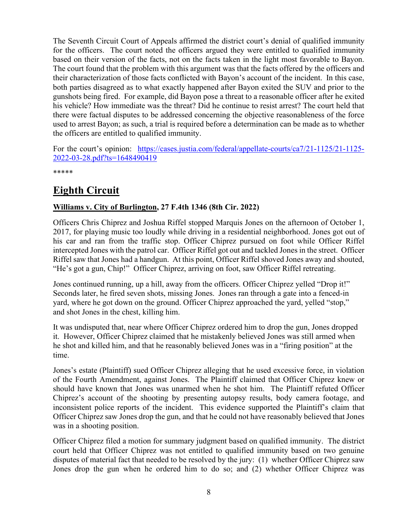The Seventh Circuit Court of Appeals affirmed the district court's denial of qualified immunity for the officers. The court noted the officers argued they were entitled to qualified immunity based on their version of the facts, not on the facts taken in the light most favorable to Bayon. The court found that the problem with this argument was that the facts offered by the officers and their characterization of those facts conflicted with Bayon's account of the incident. In this case, both parties disagreed as to what exactly happened after Bayon exited the SUV and prior to the gunshots being fired. For example, did Bayon pose a threat to a reasonable officer after he exited his vehicle? How immediate was the threat? Did he continue to resist arrest? The court held that there were factual disputes to be addressed concerning the objective reasonableness of the force used to arrest Bayon; as such, a trial is required before a determination can be made as to whether the officers are entitled to qualified immunity.

For the court's opinion: [https://cases.justia.com/federal/appellate-courts/ca7/21-1125/21-1125-](https://cases.justia.com/federal/appellate-courts/ca7/21-1125/21-1125-2022-03-28.pdf?ts=1648490419) [2022-03-28.pdf?ts=1648490419](https://cases.justia.com/federal/appellate-courts/ca7/21-1125/21-1125-2022-03-28.pdf?ts=1648490419) 

\*\*\*\*\*

## <span id="page-7-0"></span>**Eighth Circuit**

#### <span id="page-7-1"></span>**Williams v. City of Burlington, 27 F.4th 1346 (8th Cir. 2022)**

Officers Chris Chiprez and Joshua Riffel stopped Marquis Jones on the afternoon of October 1, 2017, for playing music too loudly while driving in a residential neighborhood. Jones got out of his car and ran from the traffic stop. Officer Chiprez pursued on foot while Officer Riffel intercepted Jones with the patrol car. Officer Riffel got out and tackled Jones in the street. Officer Riffel saw that Jones had a handgun. At this point, Officer Riffel shoved Jones away and shouted, "He's got a gun, Chip!" Officer Chiprez, arriving on foot, saw Officer Riffel retreating.

Jones continued running, up a hill, away from the officers. Officer Chiprez yelled "Drop it!" Seconds later, he fired seven shots, missing Jones. Jones ran through a gate into a fenced-in yard, where he got down on the ground. Officer Chiprez approached the yard, yelled "stop," and shot Jones in the chest, killing him.

It was undisputed that, near where Officer Chiprez ordered him to drop the gun, Jones dropped it. However, Officer Chiprez claimed that he mistakenly believed Jones was still armed when he shot and killed him, and that he reasonably believed Jones was in a "firing position" at the time.

Jones's estate (Plaintiff) sued Officer Chiprez alleging that he used excessive force, in violation of the Fourth Amendment, against Jones. The Plaintiff claimed that Officer Chiprez knew or should have known that Jones was unarmed when he shot him. The Plaintiff refuted Officer Chiprez's account of the shooting by presenting autopsy results, body camera footage, and inconsistent police reports of the incident. This evidence supported the Plaintiff's claim that Officer Chiprez saw Jones drop the gun, and that he could not have reasonably believed that Jones was in a shooting position.

Officer Chiprez filed a motion for summary judgment based on qualified immunity. The district court held that Officer Chiprez was not entitled to qualified immunity based on two genuine disputes of material fact that needed to be resolved by the jury: (1) whether Officer Chiprez saw Jones drop the gun when he ordered him to do so; and (2) whether Officer Chiprez was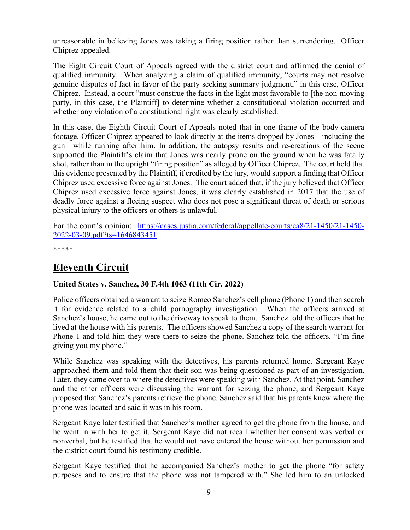unreasonable in believing Jones was taking a firing position rather than surrendering. Officer Chiprez appealed.

The Eight Circuit Court of Appeals agreed with the district court and affirmed the denial of qualified immunity. When analyzing a claim of qualified immunity, "courts may not resolve genuine disputes of fact in favor of the party seeking summary judgment," in this case, Officer Chiprez. Instead, a court "must construe the facts in the light most favorable to [the non-moving party, in this case, the Plaintiff] to determine whether a constitutional violation occurred and whether any violation of a constitutional right was clearly established.

In this case, the Eighth Circuit Court of Appeals noted that in one frame of the body-camera footage, Officer Chiprez appeared to look directly at the items dropped by Jones—including the gun—while running after him. In addition, the autopsy results and re-creations of the scene supported the Plaintiff's claim that Jones was nearly prone on the ground when he was fatally shot, rather than in the upright "firing position" as alleged by Officer Chiprez. The court held that this evidence presented by the Plaintiff, if credited by the jury, would support a finding that Officer Chiprez used excessive force against Jones. The court added that, if the jury believed that Officer Chiprez used excessive force against Jones, it was clearly established in 2017 that the use of deadly force against a fleeing suspect who does not pose a significant threat of death or serious physical injury to the officers or others is unlawful.

For the court's opinion: [https://cases.justia.com/federal/appellate-courts/ca8/21-1450/21-1450-](https://cases.justia.com/federal/appellate-courts/ca8/21-1450/21-1450-2022-03-09.pdf?ts=1646843451) [2022-03-09.pdf?ts=1646843451](https://cases.justia.com/federal/appellate-courts/ca8/21-1450/21-1450-2022-03-09.pdf?ts=1646843451) 

\*\*\*\*\*

## <span id="page-8-0"></span>**Eleventh Circuit**

#### <span id="page-8-1"></span>**United States v. Sanchez, 30 F.4th 1063 (11th Cir. 2022)**

Police officers obtained a warrant to seize Romeo Sanchez's cell phone (Phone 1) and then search it for evidence related to a child pornography investigation. When the officers arrived at Sanchez's house, he came out to the driveway to speak to them. Sanchez told the officers that he lived at the house with his parents. The officers showed Sanchez a copy of the search warrant for Phone 1 and told him they were there to seize the phone. Sanchez told the officers, "I'm fine giving you my phone."

While Sanchez was speaking with the detectives, his parents returned home. Sergeant Kaye approached them and told them that their son was being questioned as part of an investigation. Later, they came over to where the detectives were speaking with Sanchez. At that point, Sanchez and the other officers were discussing the warrant for seizing the phone, and Sergeant Kaye proposed that Sanchez's parents retrieve the phone. Sanchez said that his parents knew where the phone was located and said it was in his room.

Sergeant Kaye later testified that Sanchez's mother agreed to get the phone from the house, and he went in with her to get it. Sergeant Kaye did not recall whether her consent was verbal or nonverbal, but he testified that he would not have entered the house without her permission and the district court found his testimony credible.

Sergeant Kaye testified that he accompanied Sanchez's mother to get the phone "for safety purposes and to ensure that the phone was not tampered with." She led him to an unlocked